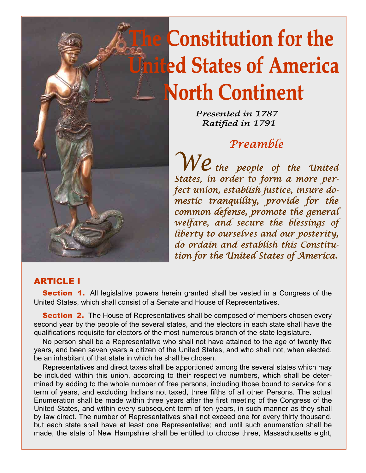

# **The Constitution for the Jnited States of America North Continent**

Presented in 1787 Ratified in 1791

### **Preamble**

 $We$  the people of the United States, in order to form a more perfect union, establish justice, insure domestic tranquility, provide for the common defense, promote the general welfare, and secure the blessings of liberty to ourselves and our posterity, do ordain and establish this Constitution for the United States of America.

#### ARTICLE I

**Section 1.** All legislative powers herein granted shall be vested in a Congress of the United States, which shall consist of a Senate and House of Representatives.

**Section 2.** The House of Representatives shall be composed of members chosen every second year by the people of the several states, and the electors in each state shall have the qualifications requisite for electors of the most numerous branch of the state legislature.

 No person shall be a Representative who shall not have attained to the age of twenty five years, and been seven years a citizen of the United States, and who shall not, when elected, be an inhabitant of that state in which he shall be chosen.

 Representatives and direct taxes shall be apportioned among the several states which may be included within this union, according to their respective numbers, which shall be determined by adding to the whole number of free persons, including those bound to service for a term of years, and excluding Indians not taxed, three fifths of all other Persons. The actual Enumeration shall be made within three years after the first meeting of the Congress of the United States, and within every subsequent term of ten years, in such manner as they shall by law direct. The number of Representatives shall not exceed one for every thirty thousand, but each state shall have at least one Representative; and until such enumeration shall be made, the state of New Hampshire shall be entitled to choose three, Massachusetts eight,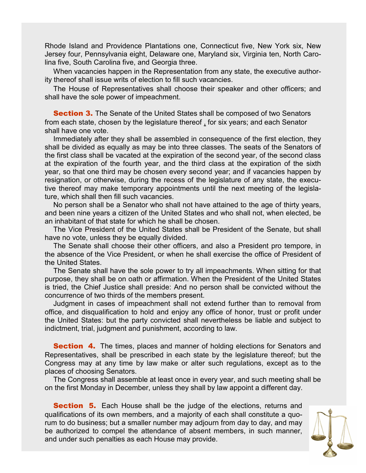Rhode Island and Providence Plantations one, Connecticut five, New York six, New Jersey four, Pennsylvania eight, Delaware one, Maryland six, Virginia ten, North Carolina five, South Carolina five, and Georgia three.

 When vacancies happen in the Representation from any state, the executive authority thereof shall issue writs of election to fill such vacancies.

 The House of Representatives shall choose their speaker and other officers; and shall have the sole power of impeachment.

**Section 3.** The Senate of the United States shall be composed of two Senators from each state, chosen by the legislature thereof , for six years; and each Senator shall have one vote.

 Immediately after they shall be assembled in consequence of the first election, they shall be divided as equally as may be into three classes. The seats of the Senators of the first class shall be vacated at the expiration of the second year, of the second class at the expiration of the fourth year, and the third class at the expiration of the sixth year, so that one third may be chosen every second year; and if vacancies happen by resignation, or otherwise, during the recess of the legislature of any state, the executive thereof may make temporary appointments until the next meeting of the legislature, which shall then fill such vacancies.

 No person shall be a Senator who shall not have attained to the age of thirty years, and been nine years a citizen of the United States and who shall not, when elected, be an inhabitant of that state for which he shall be chosen.

 The Vice President of the United States shall be President of the Senate, but shall have no vote, unless they be equally divided.

 The Senate shall choose their other officers, and also a President pro tempore, in the absence of the Vice President, or when he shall exercise the office of President of the United States.

 The Senate shall have the sole power to try all impeachments. When sitting for that purpose, they shall be on oath or affirmation. When the President of the United States is tried, the Chief Justice shall preside: And no person shall be convicted without the concurrence of two thirds of the members present.

 Judgment in cases of impeachment shall not extend further than to removal from office, and disqualification to hold and enjoy any office of honor, trust or profit under the United States: but the party convicted shall nevertheless be liable and subject to indictment, trial, judgment and punishment, according to law.

**Section 4.** The times, places and manner of holding elections for Senators and Representatives, shall be prescribed in each state by the legislature thereof; but the Congress may at any time by law make or alter such regulations, except as to the places of choosing Senators.

 The Congress shall assemble at least once in every year, and such meeting shall be on the first Monday in December, unless they shall by law appoint a different day.

**Section 5.** Each House shall be the judge of the elections, returns and qualifications of its own members, and a majority of each shall constitute a quorum to do business; but a smaller number may adjourn from day to day, and may be authorized to compel the attendance of absent members, in such manner, and under such penalties as each House may provide.

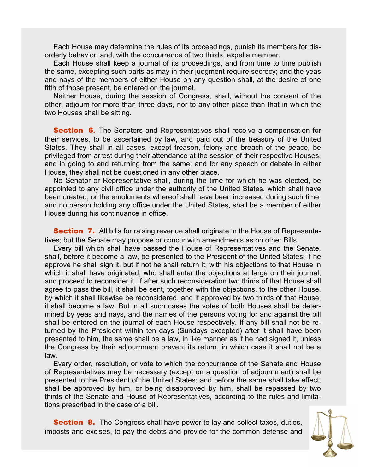Each House may determine the rules of its proceedings, punish its members for disorderly behavior, and, with the concurrence of two thirds, expel a member.

 Each House shall keep a journal of its proceedings, and from time to time publish the same, excepting such parts as may in their judgment require secrecy; and the yeas and nays of the members of either House on any question shall, at the desire of one fifth of those present, be entered on the journal.

 Neither House, during the session of Congress, shall, without the consent of the other, adjourn for more than three days, nor to any other place than that in which the two Houses shall be sitting.

**Section 6.** The Senators and Representatives shall receive a compensation for their services, to be ascertained by law, and paid out of the treasury of the United States. They shall in all cases, except treason, felony and breach of the peace, be privileged from arrest during their attendance at the session of their respective Houses, and in going to and returning from the same; and for any speech or debate in either House, they shall not be questioned in any other place.

 No Senator or Representative shall, during the time for which he was elected, be appointed to any civil office under the authority of the United States, which shall have been created, or the emoluments whereof shall have been increased during such time: and no person holding any office under the United States, shall be a member of either House during his continuance in office.

**Section 7.** All bills for raising revenue shall originate in the House of Representatives; but the Senate may propose or concur with amendments as on other Bills.

 Every bill which shall have passed the House of Representatives and the Senate, shall, before it become a law, be presented to the President of the United States; if he approve he shall sign it, but if not he shall return it, with his objections to that House in which it shall have originated, who shall enter the objections at large on their journal, and proceed to reconsider it. If after such reconsideration two thirds of that House shall agree to pass the bill, it shall be sent, together with the objections, to the other House, by which it shall likewise be reconsidered, and if approved by two thirds of that House, it shall become a law. But in all such cases the votes of both Houses shall be determined by yeas and nays, and the names of the persons voting for and against the bill shall be entered on the journal of each House respectively. If any bill shall not be returned by the President within ten days (Sundays excepted) after it shall have been presented to him, the same shall be a law, in like manner as if he had signed it, unless the Congress by their adjournment prevent its return, in which case it shall not be a law.

 Every order, resolution, or vote to which the concurrence of the Senate and House of Representatives may be necessary (except on a question of adjournment) shall be presented to the President of the United States; and before the same shall take effect, shall be approved by him, or being disapproved by him, shall be repassed by two thirds of the Senate and House of Representatives, according to the rules and limitations prescribed in the case of a bill.

**Section 8.** The Congress shall have power to lay and collect taxes, duties, imposts and excises, to pay the debts and provide for the common defense and

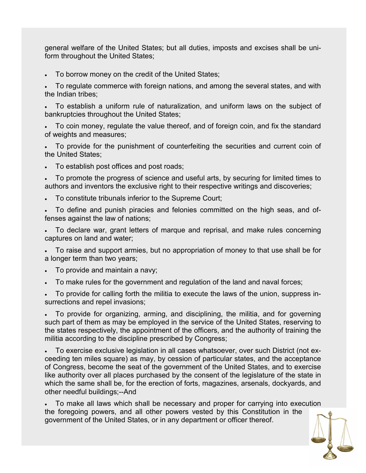general welfare of the United States; but all duties, imposts and excises shall be uniform throughout the United States;

• To borrow money on the credit of the United States;

• To regulate commerce with foreign nations, and among the several states, and with the Indian tribes;

• To establish a uniform rule of naturalization, and uniform laws on the subject of bankruptcies throughout the United States;

• To coin money, regulate the value thereof, and of foreign coin, and fix the standard of weights and measures;

• To provide for the punishment of counterfeiting the securities and current coin of the United States;

• To establish post offices and post roads;

• To promote the progress of science and useful arts, by securing for limited times to authors and inventors the exclusive right to their respective writings and discoveries;

• To constitute tribunals inferior to the Supreme Court;

• To define and punish piracies and felonies committed on the high seas, and offenses against the law of nations;

• To declare war, grant letters of marque and reprisal, and make rules concerning captures on land and water;

• To raise and support armies, but no appropriation of money to that use shall be for a longer term than two years;

- To provide and maintain a navy;
- To make rules for the government and regulation of the land and naval forces;

• To provide for calling forth the militia to execute the laws of the union, suppress insurrections and repel invasions;

• To provide for organizing, arming, and disciplining, the militia, and for governing such part of them as may be employed in the service of the United States, reserving to the states respectively, the appointment of the officers, and the authority of training the militia according to the discipline prescribed by Congress;

• To exercise exclusive legislation in all cases whatsoever, over such District (not exceeding ten miles square) as may, by cession of particular states, and the acceptance of Congress, become the seat of the government of the United States, and to exercise like authority over all places purchased by the consent of the legislature of the state in which the same shall be, for the erection of forts, magazines, arsenals, dockyards, and other needful buildings;--And

• To make all laws which shall be necessary and proper for carrying into execution the foregoing powers, and all other powers vested by this Constitution in the government of the United States, or in any department or officer thereof.

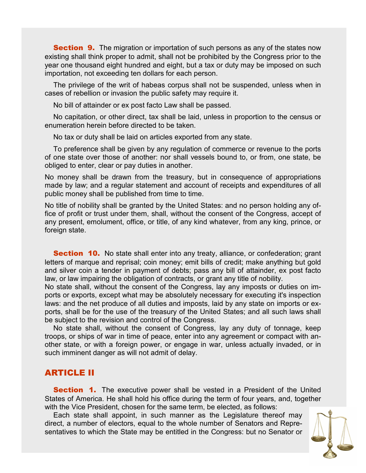**Section 9.** The migration or importation of such persons as any of the states now existing shall think proper to admit, shall not be prohibited by the Congress prior to the year one thousand eight hundred and eight, but a tax or duty may be imposed on such importation, not exceeding ten dollars for each person.

 The privilege of the writ of habeas corpus shall not be suspended, unless when in cases of rebellion or invasion the public safety may require it.

No bill of attainder or ex post facto Law shall be passed.

 No capitation, or other direct, tax shall be laid, unless in proportion to the census or enumeration herein before directed to be taken.

No tax or duty shall be laid on articles exported from any state.

 To preference shall be given by any regulation of commerce or revenue to the ports of one state over those of another: nor shall vessels bound to, or from, one state, be obliged to enter, clear or pay duties in another.

No money shall be drawn from the treasury, but in consequence of appropriations made by law; and a regular statement and account of receipts and expenditures of all public money shall be published from time to time.

No title of nobility shall be granted by the United States: and no person holding any office of profit or trust under them, shall, without the consent of the Congress, accept of any present, emolument, office, or title, of any kind whatever, from any king, prince, or foreign state.

**Section 10.** No state shall enter into any treaty, alliance, or confederation; grant letters of marque and reprisal; coin money; emit bills of credit; make anything but gold and silver coin a tender in payment of debts; pass any bill of attainder, ex post facto law, or law impairing the obligation of contracts, or grant any title of nobility.

No state shall, without the consent of the Congress, lay any imposts or duties on imports or exports, except what may be absolutely necessary for executing it's inspection laws: and the net produce of all duties and imposts, laid by any state on imports or exports, shall be for the use of the treasury of the United States; and all such laws shall be subject to the revision and control of the Congress.

 No state shall, without the consent of Congress, lay any duty of tonnage, keep troops, or ships of war in time of peace, enter into any agreement or compact with another state, or with a foreign power, or engage in war, unless actually invaded, or in such imminent danger as will not admit of delay.

#### ARTICLE II

**Section 1.** The executive power shall be vested in a President of the United States of America. He shall hold his office during the term of four years, and, together with the Vice President, chosen for the same term, be elected, as follows:

 Each state shall appoint, in such manner as the Legislature thereof may direct, a number of electors, equal to the whole number of Senators and Representatives to which the State may be entitled in the Congress: but no Senator or

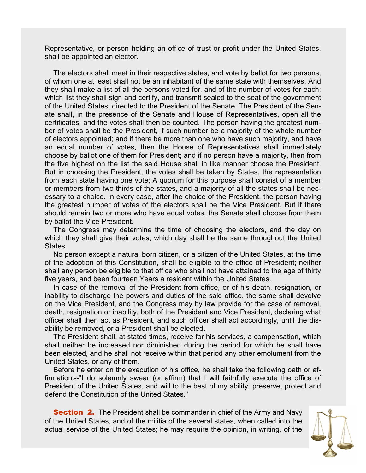Representative, or person holding an office of trust or profit under the United States, shall be appointed an elector.

 The electors shall meet in their respective states, and vote by ballot for two persons, of whom one at least shall not be an inhabitant of the same state with themselves. And they shall make a list of all the persons voted for, and of the number of votes for each; which list they shall sign and certify, and transmit sealed to the seat of the government of the United States, directed to the President of the Senate. The President of the Senate shall, in the presence of the Senate and House of Representatives, open all the certificates, and the votes shall then be counted. The person having the greatest number of votes shall be the President, if such number be a majority of the whole number of electors appointed; and if there be more than one who have such majority, and have an equal number of votes, then the House of Representatives shall immediately choose by ballot one of them for President; and if no person have a majority, then from the five highest on the list the said House shall in like manner choose the President. But in choosing the President, the votes shall be taken by States, the representation from each state having one vote; A quorum for this purpose shall consist of a member or members from two thirds of the states, and a majority of all the states shall be necessary to a choice. In every case, after the choice of the President, the person having the greatest number of votes of the electors shall be the Vice President. But if there should remain two or more who have equal votes, the Senate shall choose from them by ballot the Vice President.

 The Congress may determine the time of choosing the electors, and the day on which they shall give their votes; which day shall be the same throughout the United States.

 No person except a natural born citizen, or a citizen of the United States, at the time of the adoption of this Constitution, shall be eligible to the office of President; neither shall any person be eligible to that office who shall not have attained to the age of thirty five years, and been fourteen Years a resident within the United States.

 In case of the removal of the President from office, or of his death, resignation, or inability to discharge the powers and duties of the said office, the same shall devolve on the Vice President, and the Congress may by law provide for the case of removal, death, resignation or inability, both of the President and Vice President, declaring what officer shall then act as President, and such officer shall act accordingly, until the disability be removed, or a President shall be elected.

 The President shall, at stated times, receive for his services, a compensation, which shall neither be increased nor diminished during the period for which he shall have been elected, and he shall not receive within that period any other emolument from the United States, or any of them.

 Before he enter on the execution of his office, he shall take the following oath or affirmation:--"I do solemnly swear (or affirm) that I will faithfully execute the office of President of the United States, and will to the best of my ability, preserve, protect and defend the Constitution of the United States."

**Section 2.** The President shall be commander in chief of the Army and Navy of the United States, and of the militia of the several states, when called into the actual service of the United States; he may require the opinion, in writing, of the

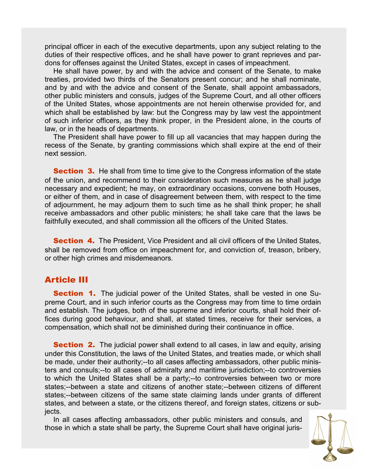principal officer in each of the executive departments, upon any subject relating to the duties of their respective offices, and he shall have power to grant reprieves and pardons for offenses against the United States, except in cases of impeachment.

 He shall have power, by and with the advice and consent of the Senate, to make treaties, provided two thirds of the Senators present concur; and he shall nominate, and by and with the advice and consent of the Senate, shall appoint ambassadors, other public ministers and consuls, judges of the Supreme Court, and all other officers of the United States, whose appointments are not herein otherwise provided for, and which shall be established by law: but the Congress may by law vest the appointment of such inferior officers, as they think proper, in the President alone, in the courts of law, or in the heads of departments.

 The President shall have power to fill up all vacancies that may happen during the recess of the Senate, by granting commissions which shall expire at the end of their next session.

**Section 3.** He shall from time to time give to the Congress information of the state of the union, and recommend to their consideration such measures as he shall judge necessary and expedient; he may, on extraordinary occasions, convene both Houses, or either of them, and in case of disagreement between them, with respect to the time of adjournment, he may adjourn them to such time as he shall think proper; he shall receive ambassadors and other public ministers; he shall take care that the laws be faithfully executed, and shall commission all the officers of the United States.

**Section 4.** The President, Vice President and all civil officers of the United States, shall be removed from office on impeachment for, and conviction of, treason, bribery, or other high crimes and misdemeanors.

#### Article III

**Section 1.** The judicial power of the United States, shall be vested in one Supreme Court, and in such inferior courts as the Congress may from time to time ordain and establish. The judges, both of the supreme and inferior courts, shall hold their offices during good behaviour, and shall, at stated times, receive for their services, a compensation, which shall not be diminished during their continuance in office.

**Section 2.** The judicial power shall extend to all cases, in law and equity, arising under this Constitution, the laws of the United States, and treaties made, or which shall be made, under their authority;--to all cases affecting ambassadors, other public ministers and consuls;--to all cases of admiralty and maritime jurisdiction;--to controversies to which the United States shall be a party;--to controversies between two or more states;--between a state and citizens of another state;--between citizens of different states;--between citizens of the same state claiming lands under grants of different states, and between a state, or the citizens thereof, and foreign states, citizens or subjects.

 In all cases affecting ambassadors, other public ministers and consuls, and those in which a state shall be party, the Supreme Court shall have original juris-

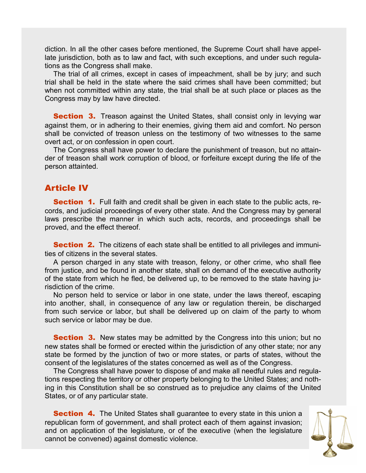diction. In all the other cases before mentioned, the Supreme Court shall have appellate jurisdiction, both as to law and fact, with such exceptions, and under such regulations as the Congress shall make.

 The trial of all crimes, except in cases of impeachment, shall be by jury; and such trial shall be held in the state where the said crimes shall have been committed; but when not committed within any state, the trial shall be at such place or places as the Congress may by law have directed.

**Section 3.** Treason against the United States, shall consist only in levying war against them, or in adhering to their enemies, giving them aid and comfort. No person shall be convicted of treason unless on the testimony of two witnesses to the same overt act, or on confession in open court.

 The Congress shall have power to declare the punishment of treason, but no attainder of treason shall work corruption of blood, or forfeiture except during the life of the person attainted.

#### Article IV

**Section 1.** Full faith and credit shall be given in each state to the public acts, records, and judicial proceedings of every other state. And the Congress may by general laws prescribe the manner in which such acts, records, and proceedings shall be proved, and the effect thereof.

**Section 2.** The citizens of each state shall be entitled to all privileges and immunities of citizens in the several states.

 A person charged in any state with treason, felony, or other crime, who shall flee from justice, and be found in another state, shall on demand of the executive authority of the state from which he fled, be delivered up, to be removed to the state having jurisdiction of the crime.

 No person held to service or labor in one state, under the laws thereof, escaping into another, shall, in consequence of any law or regulation therein, be discharged from such service or labor, but shall be delivered up on claim of the party to whom such service or labor may be due.

**Section 3.** New states may be admitted by the Congress into this union; but no new states shall be formed or erected within the jurisdiction of any other state; nor any state be formed by the junction of two or more states, or parts of states, without the consent of the legislatures of the states concerned as well as of the Congress.

 The Congress shall have power to dispose of and make all needful rules and regulations respecting the territory or other property belonging to the United States; and nothing in this Constitution shall be so construed as to prejudice any claims of the United States, or of any particular state.

**Section 4.** The United States shall guarantee to every state in this union a republican form of government, and shall protect each of them against invasion; and on application of the legislature, or of the executive (when the legislature cannot be convened) against domestic violence.

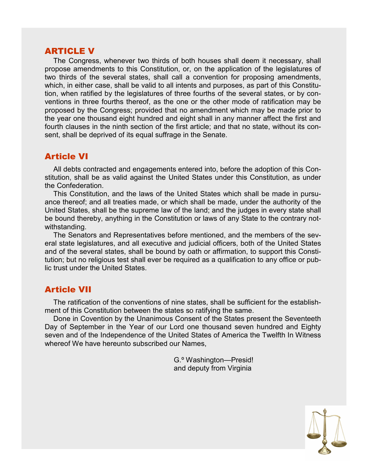#### ARTICLE V

 The Congress, whenever two thirds of both houses shall deem it necessary, shall propose amendments to this Constitution, or, on the application of the legislatures of two thirds of the several states, shall call a convention for proposing amendments, which, in either case, shall be valid to all intents and purposes, as part of this Constitution, when ratified by the legislatures of three fourths of the several states, or by conventions in three fourths thereof, as the one or the other mode of ratification may be proposed by the Congress; provided that no amendment which may be made prior to the year one thousand eight hundred and eight shall in any manner affect the first and fourth clauses in the ninth section of the first article; and that no state, without its consent, shall be deprived of its equal suffrage in the Senate.

#### Article VI

 All debts contracted and engagements entered into, before the adoption of this Constitution, shall be as valid against the United States under this Constitution, as under the Confederation.

 This Constitution, and the laws of the United States which shall be made in pursuance thereof; and all treaties made, or which shall be made, under the authority of the United States, shall be the supreme law of the land; and the judges in every state shall be bound thereby, anything in the Constitution or laws of any State to the contrary notwithstanding.

 The Senators and Representatives before mentioned, and the members of the several state legislatures, and all executive and judicial officers, both of the United States and of the several states, shall be bound by oath or affirmation, to support this Constitution; but no religious test shall ever be required as a qualification to any office or public trust under the United States.

#### Article VII

 The ratification of the conventions of nine states, shall be sufficient for the establishment of this Constitution between the states so ratifying the same.

 Done in Covention by the Unanimous Consent of the States present the Seventeeth Day of September in the Year of our Lord one thousand seven hundred and Eighty seven and of the Independence of the United States of America the Twelfth In Witness whereof We have hereunto subscribed our Names.

> G.º Washington—Presid! and deputy from Virginia